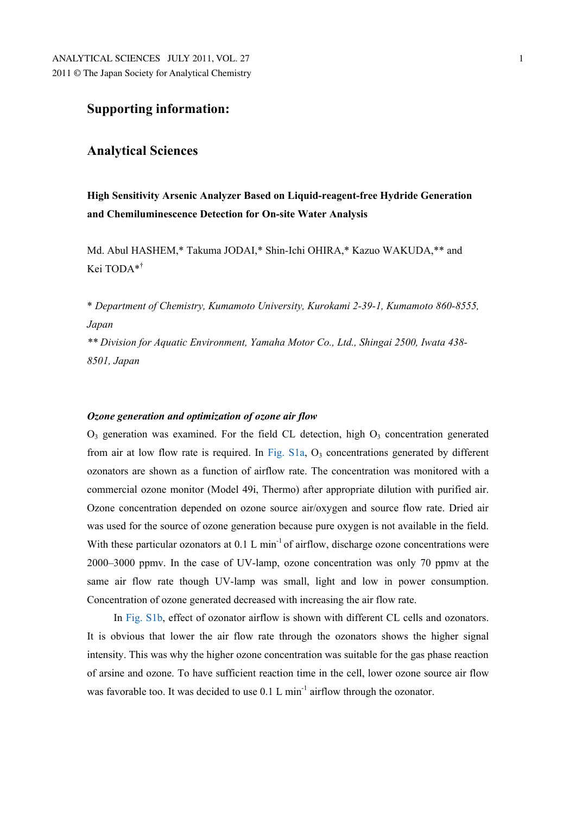# **Supporting information:**

# **Analytical Sciences**

**High Sensitivity Arsenic Analyzer Based on Liquid-reagent-free Hydride Generation and Chemiluminescence Detection for On-site Water Analysis** 

Md. Abul HASHEM,\* Takuma JODAI,\* Shin-Ichi OHIRA,\* Kazuo WAKUDA,\*\* and Kei TODA\*†

\* *Department of Chemistry, Kumamoto University, Kurokami 2-39-1, Kumamoto 860-8555, Japan* 

*\*\* Division for Aquatic Environment, Yamaha Motor Co., Ltd., Shingai 2500, Iwata 438- 8501, Japan* 

#### *Ozone generation and optimization of ozone air flow*

 $O_3$  generation was examined. For the field CL detection, high  $O_3$  concentration generated from air at low flow rate is required. In Fig.  $S1a$ ,  $O<sub>3</sub>$  concentrations generated by different ozonators are shown as a function of airflow rate. The concentration was monitored with a commercial ozone monitor (Model 49i, Thermo) after appropriate dilution with purified air. Ozone concentration depended on ozone source air/oxygen and source flow rate. Dried air was used for the source of ozone generation because pure oxygen is not available in the field. With these particular ozonators at  $0.1 \,$ L min<sup>-1</sup> of airflow, discharge ozone concentrations were 2000–3000 ppmv. In the case of UV-lamp, ozone concentration was only 70 ppmv at the same air flow rate though UV-lamp was small, light and low in power consumption. Concentration of ozone generated decreased with increasing the air flow rate.

In Fig. S1b, effect of ozonator airflow is shown with different CL cells and ozonators. It is obvious that lower the air flow rate through the ozonators shows the higher signal intensity. This was why the higher ozone concentration was suitable for the gas phase reaction of arsine and ozone. To have sufficient reaction time in the cell, lower ozone source air flow was favorable too. It was decided to use  $0.1 \text{ L min}^{-1}$  airflow through the ozonator.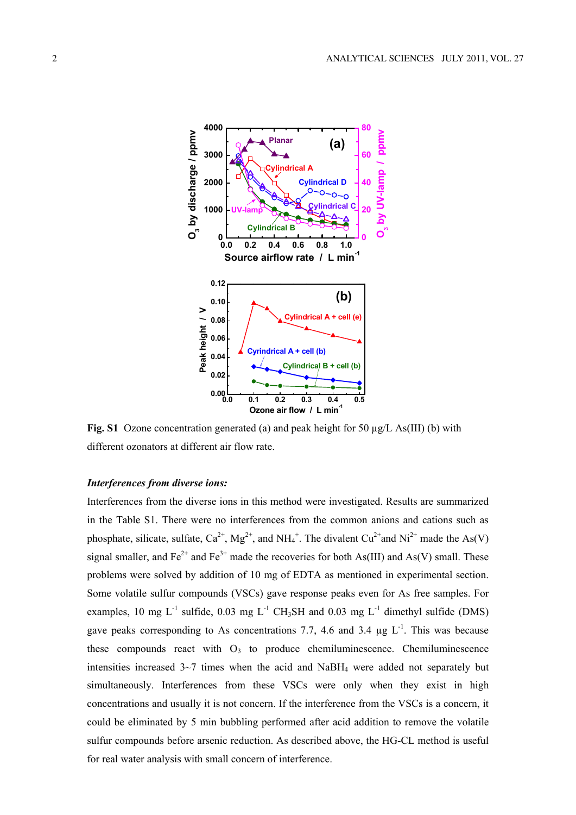

**Fig. S1** Ozone concentration generated (a) and peak height for 50 µg/L As(III) (b) with different ozonators at different air flow rate.

### *Interferences from diverse ions:*

Interferences from the diverse ions in this method were investigated. Results are summarized in the Table S1. There were no interferences from the common anions and cations such as phosphate, silicate, sulfate,  $Ca^{2+}$ ,  $Mg^{2+}$ , and  $NH_4^+$ . The divalent  $Cu^{2+}$  and  $Ni^{2+}$  made the As(V) signal smaller, and  $Fe^{2+}$  and  $Fe^{3+}$  made the recoveries for both As(III) and As(V) small. These problems were solved by addition of 10 mg of EDTA as mentioned in experimental section. Some volatile sulfur compounds (VSCs) gave response peaks even for As free samples. For examples, 10 mg  $L^{-1}$  sulfide, 0.03 mg  $L^{-1}$  CH<sub>3</sub>SH and 0.03 mg  $L^{-1}$  dimethyl sulfide (DMS) gave peaks corresponding to As concentrations 7.7, 4.6 and 3.4  $\mu$ g L<sup>-1</sup>. This was because these compounds react with  $O_3$  to produce chemiluminescence. Chemiluminescence intensities increased  $3~7$  times when the acid and NaBH<sub>4</sub> were added not separately but simultaneously. Interferences from these VSCs were only when they exist in high concentrations and usually it is not concern. If the interference from the VSCs is a concern, it could be eliminated by 5 min bubbling performed after acid addition to remove the volatile sulfur compounds before arsenic reduction. As described above, the HG-CL method is useful for real water analysis with small concern of interference.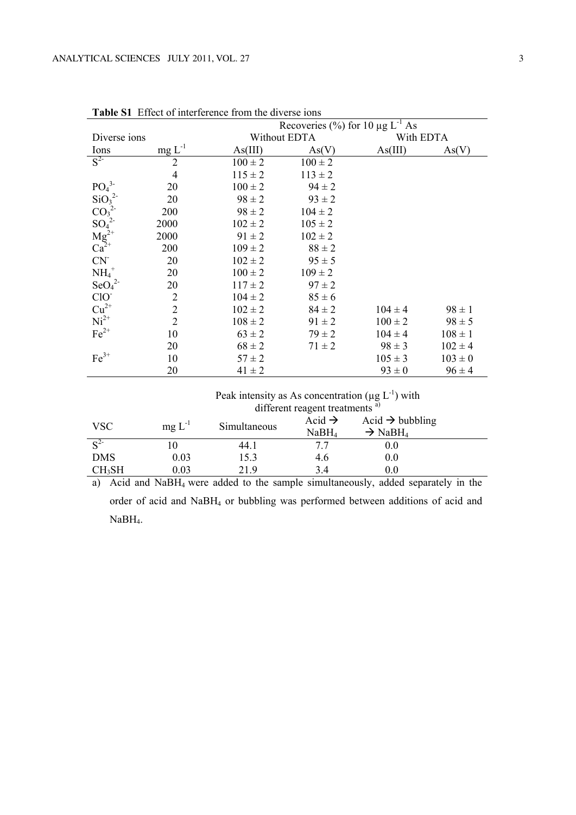|                                                                                         |                | Recoveries $\frac{0}{0}$ for 10 µg L <sup>-1</sup> As |              |             |             |  |
|-----------------------------------------------------------------------------------------|----------------|-------------------------------------------------------|--------------|-------------|-------------|--|
| Diverse ions                                                                            |                |                                                       | Without EDTA |             | With EDTA   |  |
| $rac{\text{Ions}}{S^2}$                                                                 | $mg L^{-1}$    | As(V)<br>As(III)                                      |              | As(III)     | As(V)       |  |
|                                                                                         | $\overline{2}$ | $100 \pm 2$                                           | $100 \pm 2$  |             |             |  |
|                                                                                         | $\overline{4}$ | $115 \pm 2$                                           | $113 \pm 2$  |             |             |  |
| $PO43$<br>SiO <sub>3</sub> <sup>2-</sup>                                                | 20             | $100 \pm 2$                                           | $94 \pm 2$   |             |             |  |
|                                                                                         | 20             | $98 \pm 2$                                            | $93 \pm 2$   |             |             |  |
|                                                                                         | 200            | $98 \pm 2$                                            | $104 \pm 2$  |             |             |  |
| $CO_3^2$<br>$SO_4^2$<br>$Mg^{2+}$<br>$Ca^{2+}$                                          | 2000           | $102 \pm 2$                                           | $105 \pm 2$  |             |             |  |
|                                                                                         | 2000           | $91 \pm 2$                                            | $102 \pm 2$  |             |             |  |
|                                                                                         | 200            | $109 \pm 2$                                           | $88 \pm 2$   |             |             |  |
| CN                                                                                      | 20             | $102 \pm 2$                                           | $95 \pm 5$   |             |             |  |
| $NH_4$ <sup>+</sup>                                                                     | 20             | $100 \pm 2$                                           | $109 \pm 2$  |             |             |  |
| $\text{SeO}_4^2$                                                                        | 20             | $117 \pm 2$                                           | $97 \pm 2$   |             |             |  |
| ClO                                                                                     | $\overline{2}$ | $104 \pm 2$                                           | $85 \pm 6$   |             |             |  |
| $\begin{array}{c} \mathrm{Cu}^{2+} \\ \mathrm{Ni}^{2+} \\ \mathrm{Fe}^{2+} \end{array}$ | $\overline{2}$ | $102 \pm 2$                                           | $84 \pm 2$   | $104 \pm 4$ | $98 \pm 1$  |  |
|                                                                                         | $\overline{2}$ | $108 \pm 2$                                           | $91 \pm 2$   | $100 \pm 2$ | $98 \pm 5$  |  |
|                                                                                         | 10             | $63 \pm 2$                                            | $79 \pm 2$   | $104 \pm 4$ | $108 \pm 1$ |  |
|                                                                                         | 20             | $68 \pm 2$                                            | $71 \pm 2$   | $98 \pm 3$  | $102 \pm 4$ |  |
| $Fe3+$                                                                                  | 10             | $57 \pm 2$                                            |              | $105 \pm 3$ | $103 \pm 0$ |  |
|                                                                                         | 20             | $41 \pm 2$                                            |              | $93 \pm 0$  | $96 \pm 4$  |  |
|                                                                                         |                |                                                       |              |             |             |  |

**Table S1** Effect of interference from the diverse ions

| Peak intensity as As concentration ( $\mu$ g L <sup>-1</sup> ) with |
|---------------------------------------------------------------------|
| different reagent treatments <sup>a)</sup>                          |

| <b>VSC</b>       | $mg L^{-1}$ | Simultaneous | Acid $\rightarrow$<br>NaBH <sub>4</sub> | Acid $\rightarrow$ bubbling<br>$\rightarrow$ NaBH <sub>4</sub> |  |
|------------------|-------------|--------------|-----------------------------------------|----------------------------------------------------------------|--|
| $\mathbb{C}^{2}$ |             | 44.1         |                                         | 0.0                                                            |  |
| <b>DMS</b>       | 0.03        | 15.3         | 4.6                                     | 0.0                                                            |  |
| $CH_3SH$         | 0.03        | 21.9         | 3.4                                     | 0.0                                                            |  |

a) Acid and NaBH4 were added to the sample simultaneously, added separately in the order of acid and NaBH4 or bubbling was performed between additions of acid and NaBH4.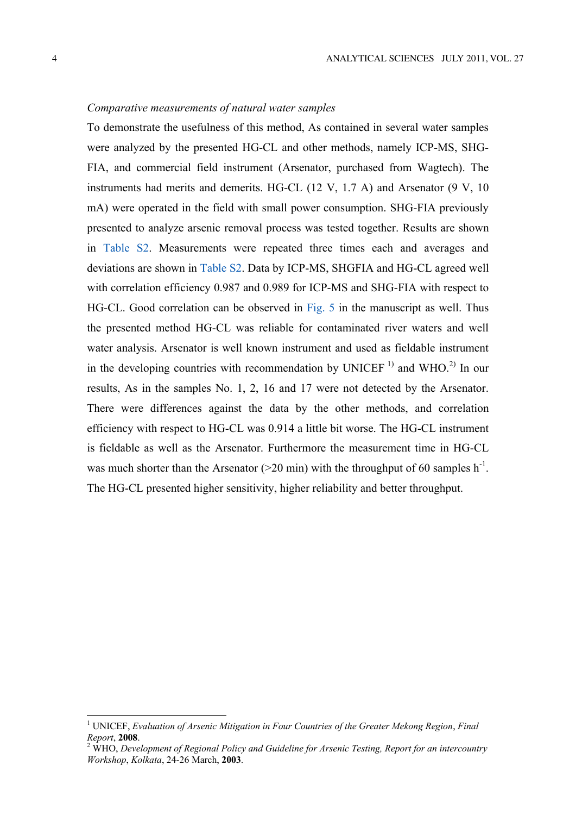### *Comparative measurements of natural water samples*

To demonstrate the usefulness of this method, As contained in several water samples were analyzed by the presented HG-CL and other methods, namely ICP-MS, SHG-FIA, and commercial field instrument (Arsenator, purchased from Wagtech). The instruments had merits and demerits. HG-CL (12 V, 1.7 A) and Arsenator (9 V, 10 mA) were operated in the field with small power consumption. SHG-FIA previously presented to analyze arsenic removal process was tested together. Results are shown in Table S2. Measurements were repeated three times each and averages and deviations are shown in Table S2. Data by ICP-MS, SHGFIA and HG-CL agreed well with correlation efficiency 0.987 and 0.989 for ICP-MS and SHG-FIA with respect to HG-CL. Good correlation can be observed in Fig. 5 in the manuscript as well. Thus the presented method HG-CL was reliable for contaminated river waters and well water analysis. Arsenator is well known instrument and used as fieldable instrument in the developing countries with recommendation by UNICEF  $^{1}$  and WHO.<sup>2)</sup> In our results, As in the samples No. 1, 2, 16 and 17 were not detected by the Arsenator. There were differences against the data by the other methods, and correlation efficiency with respect to HG-CL was 0.914 a little bit worse. The HG-CL instrument is fieldable as well as the Arsenator. Furthermore the measurement time in HG-CL was much shorter than the Arsenator ( $>$ 20 min) with the throughput of 60 samples h<sup>-1</sup>. The HG-CL presented higher sensitivity, higher reliability and better throughput.

<sup>&</sup>lt;sup>1</sup> UNICEF, *Evaluation of Arsenic Mitigation in Four Countries of the Greater Mekong Region, Final*  $Report, 2008.$ 

WHO, *Development of Regional Policy and Guideline for Arsenic Testing, Report for an intercountry Workshop*, *Kolkata*, 24-26 March, **2003**.